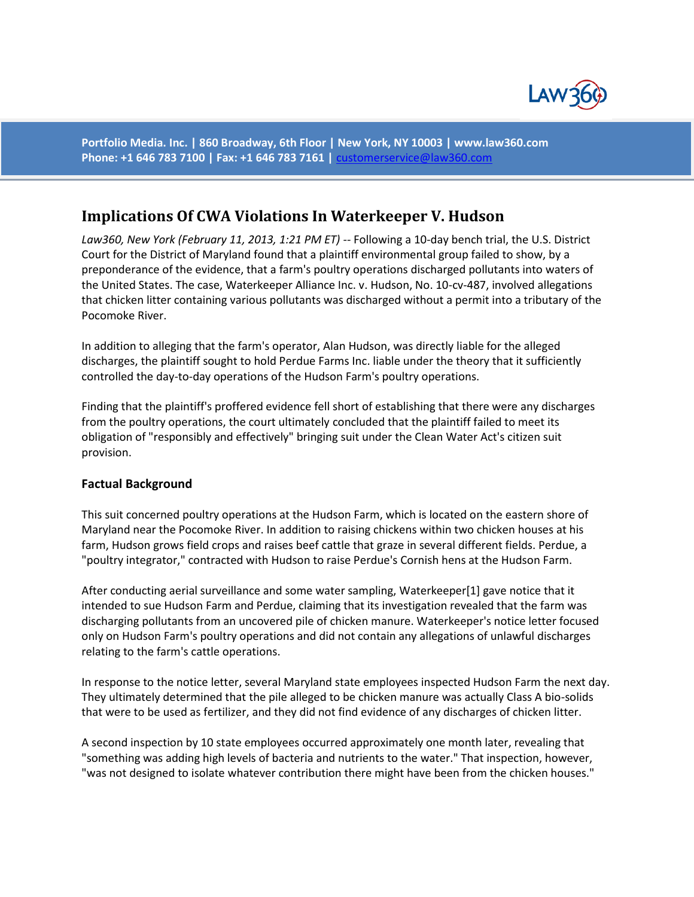

**Portfolio Media. Inc. | 860 Broadway, 6th Floor | New York, NY 10003 | www.law360.com Phone: +1 646 783 7100 | Fax: +1 646 783 7161 |** [customerservice@law360.com](mailto:customerservice@law360.com)

## **Implications Of CWA Violations In Waterkeeper V. Hudson**

*Law360, New York (February 11, 2013, 1:21 PM ET) --* Following a 10-day bench trial, the U.S. District Court for the District of Maryland found that a plaintiff environmental group failed to show, by a preponderance of the evidence, that a farm's poultry operations discharged pollutants into waters of the United States. The case, Waterkeeper Alliance Inc. v. Hudson, No. 10-cv-487, involved allegations that chicken litter containing various pollutants was discharged without a permit into a tributary of the Pocomoke River.

In addition to alleging that the farm's operator, Alan Hudson, was directly liable for the alleged discharges, the plaintiff sought to hold Perdue Farms Inc. liable under the theory that it sufficiently controlled the day-to-day operations of the Hudson Farm's poultry operations.

Finding that the plaintiff's proffered evidence fell short of establishing that there were any discharges from the poultry operations, the court ultimately concluded that the plaintiff failed to meet its obligation of "responsibly and effectively" bringing suit under the Clean Water Act's citizen suit provision.

## **Factual Background**

This suit concerned poultry operations at the Hudson Farm, which is located on the eastern shore of Maryland near the Pocomoke River. In addition to raising chickens within two chicken houses at his farm, Hudson grows field crops and raises beef cattle that graze in several different fields. Perdue, a "poultry integrator," contracted with Hudson to raise Perdue's Cornish hens at the Hudson Farm.

After conducting aerial surveillance and some water sampling, Waterkeeper[1] gave notice that it intended to sue Hudson Farm and Perdue, claiming that its investigation revealed that the farm was discharging pollutants from an uncovered pile of chicken manure. Waterkeeper's notice letter focused only on Hudson Farm's poultry operations and did not contain any allegations of unlawful discharges relating to the farm's cattle operations.

In response to the notice letter, several Maryland state employees inspected Hudson Farm the next day. They ultimately determined that the pile alleged to be chicken manure was actually Class A bio-solids that were to be used as fertilizer, and they did not find evidence of any discharges of chicken litter.

A second inspection by 10 state employees occurred approximately one month later, revealing that "something was adding high levels of bacteria and nutrients to the water." That inspection, however, "was not designed to isolate whatever contribution there might have been from the chicken houses."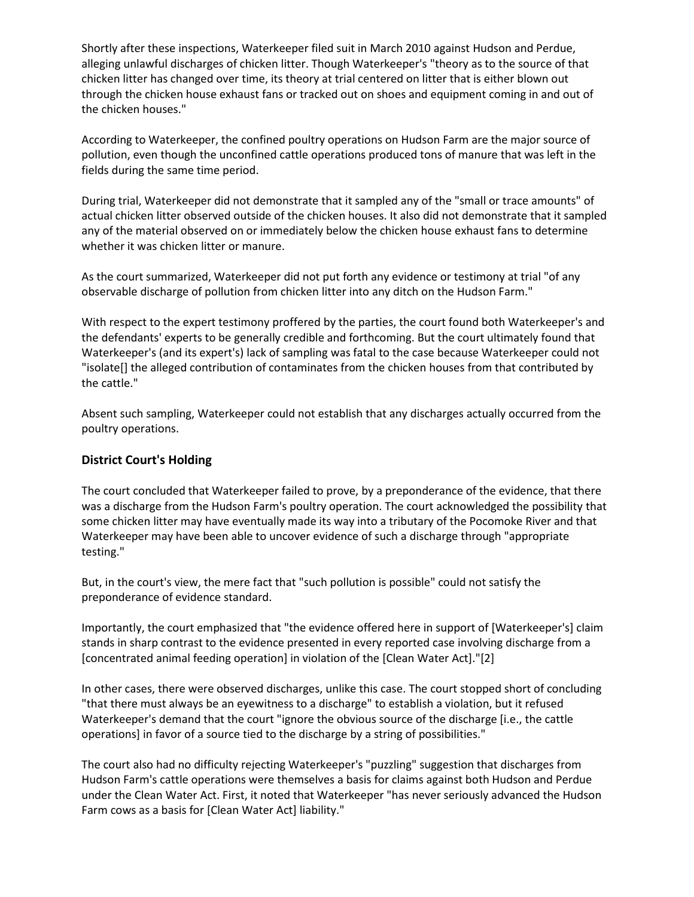Shortly after these inspections, Waterkeeper filed suit in March 2010 against Hudson and Perdue, alleging unlawful discharges of chicken litter. Though Waterkeeper's "theory as to the source of that chicken litter has changed over time, its theory at trial centered on litter that is either blown out through the chicken house exhaust fans or tracked out on shoes and equipment coming in and out of the chicken houses."

According to Waterkeeper, the confined poultry operations on Hudson Farm are the major source of pollution, even though the unconfined cattle operations produced tons of manure that was left in the fields during the same time period.

During trial, Waterkeeper did not demonstrate that it sampled any of the "small or trace amounts" of actual chicken litter observed outside of the chicken houses. It also did not demonstrate that it sampled any of the material observed on or immediately below the chicken house exhaust fans to determine whether it was chicken litter or manure.

As the court summarized, Waterkeeper did not put forth any evidence or testimony at trial "of any observable discharge of pollution from chicken litter into any ditch on the Hudson Farm."

With respect to the expert testimony proffered by the parties, the court found both Waterkeeper's and the defendants' experts to be generally credible and forthcoming. But the court ultimately found that Waterkeeper's (and its expert's) lack of sampling was fatal to the case because Waterkeeper could not "isolate[] the alleged contribution of contaminates from the chicken houses from that contributed by the cattle."

Absent such sampling, Waterkeeper could not establish that any discharges actually occurred from the poultry operations.

## **District Court's Holding**

The court concluded that Waterkeeper failed to prove, by a preponderance of the evidence, that there was a discharge from the Hudson Farm's poultry operation. The court acknowledged the possibility that some chicken litter may have eventually made its way into a tributary of the Pocomoke River and that Waterkeeper may have been able to uncover evidence of such a discharge through "appropriate testing."

But, in the court's view, the mere fact that "such pollution is possible" could not satisfy the preponderance of evidence standard.

Importantly, the court emphasized that "the evidence offered here in support of [Waterkeeper's] claim stands in sharp contrast to the evidence presented in every reported case involving discharge from a [concentrated animal feeding operation] in violation of the [Clean Water Act]."[2]

In other cases, there were observed discharges, unlike this case. The court stopped short of concluding "that there must always be an eyewitness to a discharge" to establish a violation, but it refused Waterkeeper's demand that the court "ignore the obvious source of the discharge [i.e., the cattle operations] in favor of a source tied to the discharge by a string of possibilities."

The court also had no difficulty rejecting Waterkeeper's "puzzling" suggestion that discharges from Hudson Farm's cattle operations were themselves a basis for claims against both Hudson and Perdue under the Clean Water Act. First, it noted that Waterkeeper "has never seriously advanced the Hudson Farm cows as a basis for [Clean Water Act] liability."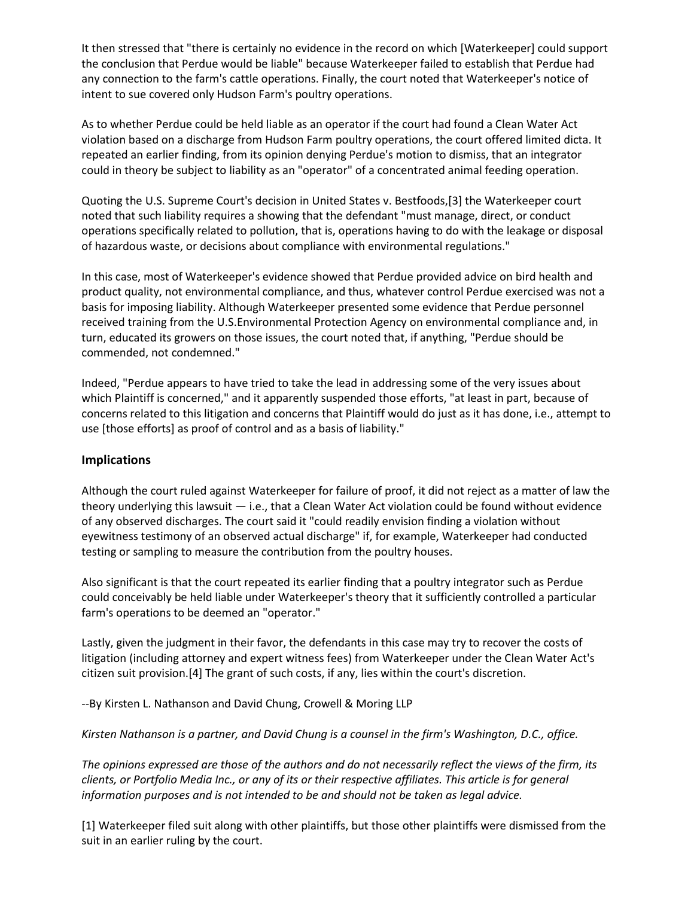It then stressed that "there is certainly no evidence in the record on which [Waterkeeper] could support the conclusion that Perdue would be liable" because Waterkeeper failed to establish that Perdue had any connection to the farm's cattle operations. Finally, the court noted that Waterkeeper's notice of intent to sue covered only Hudson Farm's poultry operations.

As to whether Perdue could be held liable as an operator if the court had found a Clean Water Act violation based on a discharge from Hudson Farm poultry operations, the court offered limited dicta. It repeated an earlier finding, from its opinion denying Perdue's motion to dismiss, that an integrator could in theory be subject to liability as an "operator" of a concentrated animal feeding operation.

Quoting the U.S. Supreme Court's decision in United States v. Bestfoods,[3] the Waterkeeper court noted that such liability requires a showing that the defendant "must manage, direct, or conduct operations specifically related to pollution, that is, operations having to do with the leakage or disposal of hazardous waste, or decisions about compliance with environmental regulations."

In this case, most of Waterkeeper's evidence showed that Perdue provided advice on bird health and product quality, not environmental compliance, and thus, whatever control Perdue exercised was not a basis for imposing liability. Although Waterkeeper presented some evidence that Perdue personnel received training from the U.S.Environmental Protection Agency on environmental compliance and, in turn, educated its growers on those issues, the court noted that, if anything, "Perdue should be commended, not condemned."

Indeed, "Perdue appears to have tried to take the lead in addressing some of the very issues about which Plaintiff is concerned," and it apparently suspended those efforts, "at least in part, because of concerns related to this litigation and concerns that Plaintiff would do just as it has done, i.e., attempt to use [those efforts] as proof of control and as a basis of liability."

## **Implications**

Although the court ruled against Waterkeeper for failure of proof, it did not reject as a matter of law the theory underlying this lawsuit — i.e., that a Clean Water Act violation could be found without evidence of any observed discharges. The court said it "could readily envision finding a violation without eyewitness testimony of an observed actual discharge" if, for example, Waterkeeper had conducted testing or sampling to measure the contribution from the poultry houses.

Also significant is that the court repeated its earlier finding that a poultry integrator such as Perdue could conceivably be held liable under Waterkeeper's theory that it sufficiently controlled a particular farm's operations to be deemed an "operator."

Lastly, given the judgment in their favor, the defendants in this case may try to recover the costs of litigation (including attorney and expert witness fees) from Waterkeeper under the Clean Water Act's citizen suit provision.[4] The grant of such costs, if any, lies within the court's discretion.

--By Kirsten L. Nathanson and David Chung, Crowell & Moring LLP

*Kirsten Nathanson is a partner, and David Chung is a counsel in the firm's Washington, D.C., office.*

*The opinions expressed are those of the authors and do not necessarily reflect the views of the firm, its clients, or Portfolio Media Inc., or any of its or their respective affiliates. This article is for general information purposes and is not intended to be and should not be taken as legal advice.*

[1] Waterkeeper filed suit along with other plaintiffs, but those other plaintiffs were dismissed from the suit in an earlier ruling by the court.